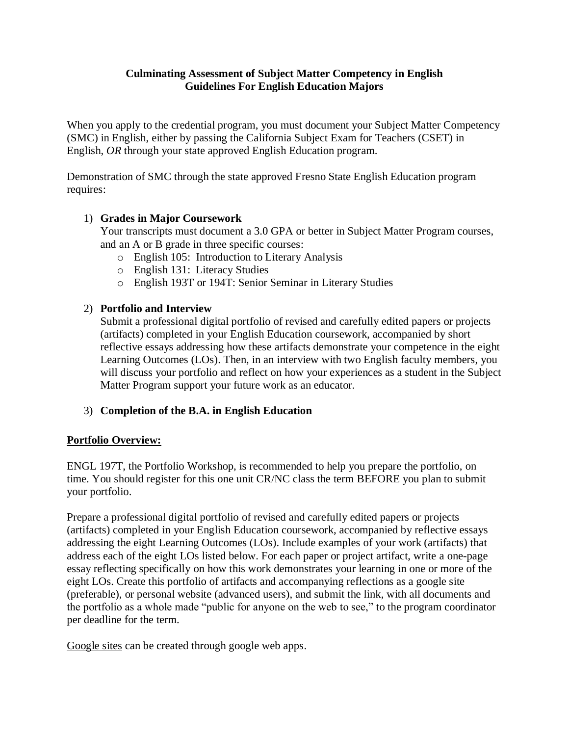# **Culminating Assessment of Subject Matter Competency in English Guidelines For English Education Majors**

When you apply to the credential program, you must document your Subject Matter Competency (SMC) in English, either by passing the California Subject Exam for Teachers (CSET) in English, *OR* through your state approved English Education program.

Demonstration of SMC through the state approved Fresno State English Education program requires:

# 1) **Grades in Major Coursework**

Your transcripts must document a 3.0 GPA or better in Subject Matter Program courses, and an A or B grade in three specific courses:

- o English 105: Introduction to Literary Analysis
- o English 131: Literacy Studies
- o English 193T or 194T: Senior Seminar in Literary Studies

## 2) **Portfolio and Interview**

Submit a professional digital portfolio of revised and carefully edited papers or projects (artifacts) completed in your English Education coursework, accompanied by short reflective essays addressing how these artifacts demonstrate your competence in the eight Learning Outcomes (LOs). Then, in an interview with two English faculty members, you will discuss your portfolio and reflect on how your experiences as a student in the Subject Matter Program support your future work as an educator.

# 3) **Completion of the B.A. in English Education**

## **Portfolio Overview:**

ENGL 197T, the Portfolio Workshop, is recommended to help you prepare the portfolio, on time. You should register for this one unit CR/NC class the term BEFORE you plan to submit your portfolio.

Prepare a professional digital portfolio of revised and carefully edited papers or projects (artifacts) completed in your English Education coursework, accompanied by reflective essays addressing the eight Learning Outcomes (LOs). Include examples of your work (artifacts) that address each of the eight LOs listed below. For each paper or project artifact, write a one-page essay reflecting specifically on how this work demonstrates your learning in one or more of the eight LOs. Create this portfolio of artifacts and accompanying reflections as a google site (preferable), or personal website (advanced users), and submit the link, with all documents and the portfolio as a whole made "public for anyone on the web to see," to the program coordinator per deadline for the term.

Google sites can be created through google web apps.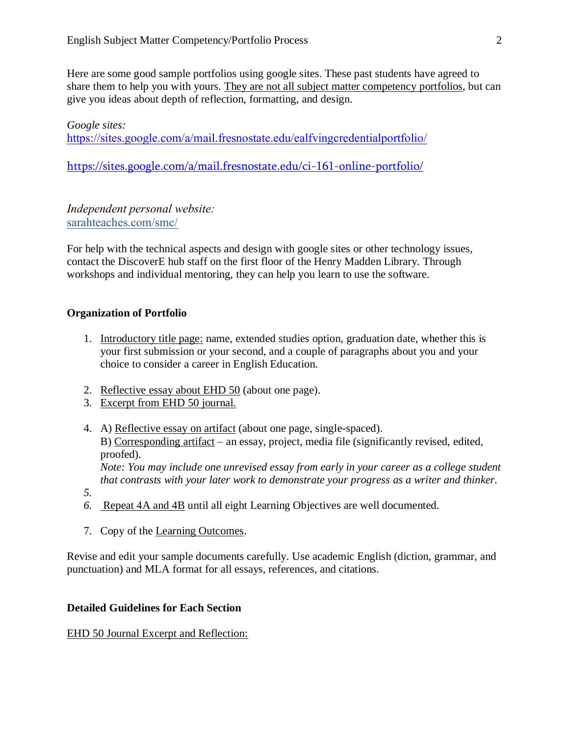Here are some good sample portfolios using google sites. These past students have agreed to share them to help you with yours. They are not all subject matter competency portfolios, but can give you ideas about depth of reflection, formatting, and design.

## *Google sites:*

*<https://sites.google.com/a/mail.fresnostate.edu/ealfvingcredentialportfolio/>*

<https://sites.google.com/a/mail.fresnostate.edu/ci-161-online-portfolio/>

*Independent personal website: sarahteaches.com/smc/*

For help with the technical aspects and design with google sites or other technology issues, contact the DiscoverE hub staff on the first floor of the Henry Madden Library. Through workshops and individual mentoring, they can help you learn to use the software.

## **Organization of Portfolio**

- 1. Introductory title page: name, extended studies option, graduation date, whether this is your first submission or your second, and a couple of paragraphs about you and your choice to consider a career in English Education.
- 2. Reflective essay about EHD 50 (about one page).
- 3. Excerpt from EHD 50 journal.
- 4. A) Reflective essay on artifact (about one page, single-spaced). B) Corresponding artifact – an essay, project, media file (significantly revised, edited, proofed). *Note: You may include one unrevised essay from early in your career as a college student that contrasts with your later work to demonstrate your progress as a writer and thinker.*
- *5.*
- *6.* Repeat 4A and 4B until all eight Learning Objectives are well documented.
- 7. Copy of the Learning Outcomes.

Revise and edit your sample documents carefully. Use academic English (diction, grammar, and punctuation) and MLA format for all essays, references, and citations.

### **Detailed Guidelines for Each Section**

### EHD 50 Journal Excerpt and Reflection: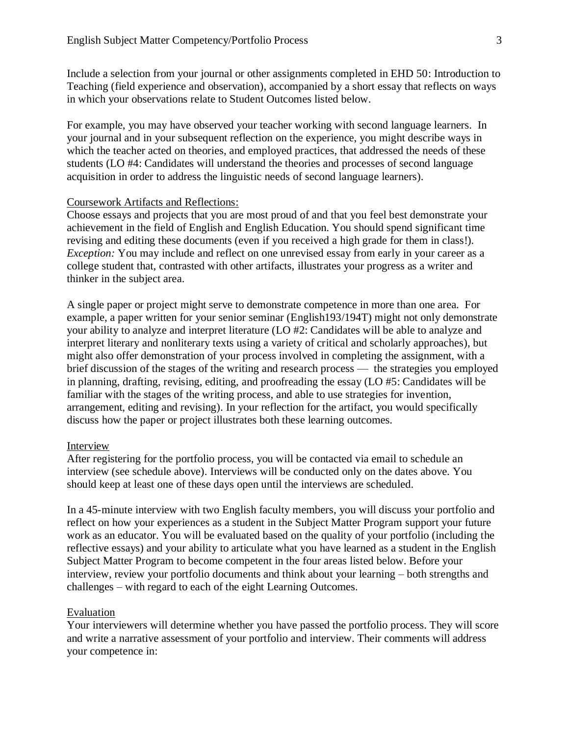Include a selection from your journal or other assignments completed in EHD 50: Introduction to Teaching (field experience and observation), accompanied by a short essay that reflects on ways in which your observations relate to Student Outcomes listed below.

For example, you may have observed your teacher working with second language learners. In your journal and in your subsequent reflection on the experience, you might describe ways in which the teacher acted on theories, and employed practices, that addressed the needs of these students (LO #4: Candidates will understand the theories and processes of second language acquisition in order to address the linguistic needs of second language learners).

### Coursework Artifacts and Reflections:

Choose essays and projects that you are most proud of and that you feel best demonstrate your achievement in the field of English and English Education. You should spend significant time revising and editing these documents (even if you received a high grade for them in class!). *Exception:* You may include and reflect on one unrevised essay from early in your career as a college student that, contrasted with other artifacts, illustrates your progress as a writer and thinker in the subject area.

A single paper or project might serve to demonstrate competence in more than one area. For example, a paper written for your senior seminar (English193/194T) might not only demonstrate your ability to analyze and interpret literature (LO #2: Candidates will be able to analyze and interpret literary and nonliterary texts using a variety of critical and scholarly approaches), but might also offer demonstration of your process involved in completing the assignment, with a brief discussion of the stages of the writing and research process — the strategies you employed in planning, drafting, revising, editing, and proofreading the essay (LO #5: Candidates will be familiar with the stages of the writing process, and able to use strategies for invention, arrangement, editing and revising). In your reflection for the artifact, you would specifically discuss how the paper or project illustrates both these learning outcomes.

#### Interview

After registering for the portfolio process, you will be contacted via email to schedule an interview (see schedule above). Interviews will be conducted only on the dates above. You should keep at least one of these days open until the interviews are scheduled.

In a 45-minute interview with two English faculty members, you will discuss your portfolio and reflect on how your experiences as a student in the Subject Matter Program support your future work as an educator. You will be evaluated based on the quality of your portfolio (including the reflective essays) and your ability to articulate what you have learned as a student in the English Subject Matter Program to become competent in the four areas listed below. Before your interview, review your portfolio documents and think about your learning – both strengths and challenges – with regard to each of the eight Learning Outcomes.

### Evaluation

Your interviewers will determine whether you have passed the portfolio process. They will score and write a narrative assessment of your portfolio and interview. Their comments will address your competence in: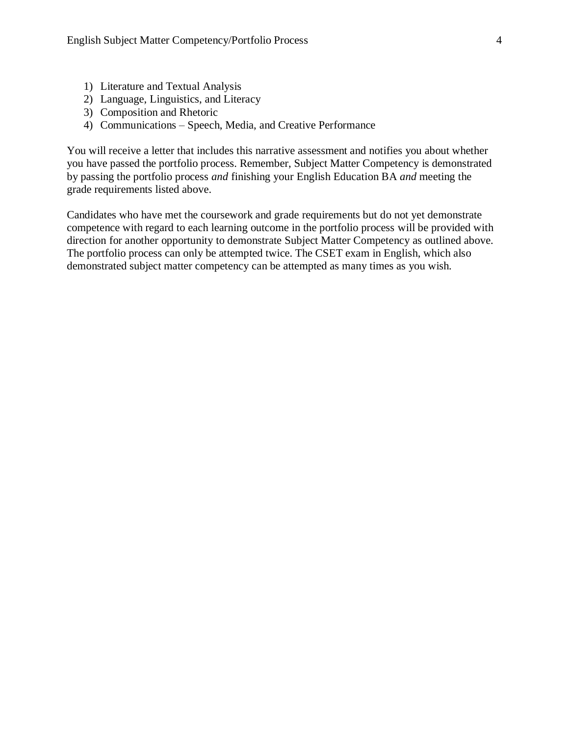- 1) Literature and Textual Analysis
- 2) Language, Linguistics, and Literacy
- 3) Composition and Rhetoric
- 4) Communications Speech, Media, and Creative Performance

You will receive a letter that includes this narrative assessment and notifies you about whether you have passed the portfolio process. Remember, Subject Matter Competency is demonstrated by passing the portfolio process *and* finishing your English Education BA *and* meeting the grade requirements listed above.

Candidates who have met the coursework and grade requirements but do not yet demonstrate competence with regard to each learning outcome in the portfolio process will be provided with direction for another opportunity to demonstrate Subject Matter Competency as outlined above. The portfolio process can only be attempted twice. The CSET exam in English, which also demonstrated subject matter competency can be attempted as many times as you wish.